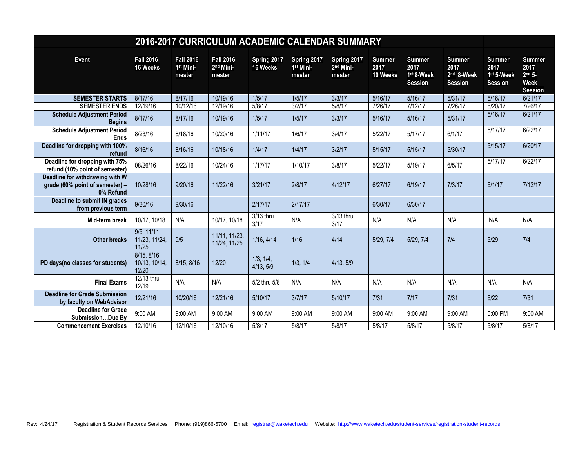|                                                                                 | 2016-2017 CURRICULUM ACADEMIC CALENDAR SUMMARY |                                                     |                                                     |                         |                                                |                                                |                                   |                                                       |                                                       |                                                       |                                                                             |
|---------------------------------------------------------------------------------|------------------------------------------------|-----------------------------------------------------|-----------------------------------------------------|-------------------------|------------------------------------------------|------------------------------------------------|-----------------------------------|-------------------------------------------------------|-------------------------------------------------------|-------------------------------------------------------|-----------------------------------------------------------------------------|
| Event                                                                           | <b>Fall 2016</b><br>16 Weeks                   | <b>Fall 2016</b><br>1 <sup>st</sup> Mini-<br>mester | <b>Fall 2016</b><br>2 <sup>nd</sup> Mini-<br>mester | Spring 2017<br>16 Weeks | Spring 2017<br>1 <sup>st</sup> Mini-<br>mester | Spring 2017<br>2 <sup>nd</sup> Mini-<br>mester | <b>Summer</b><br>2017<br>10 Weeks | <b>Summer</b><br>2017<br>1st 8-Week<br><b>Session</b> | <b>Summer</b><br>2017<br>2nd 8-Week<br><b>Session</b> | <b>Summer</b><br>2017<br>1st 5-Week<br><b>Session</b> | <b>Summer</b><br>2017<br>2 <sup>nd</sup> 5<br><b>Week</b><br><b>Session</b> |
| <b>SEMESTER STARTS</b>                                                          | 8/17/16                                        | 8/17/16                                             | 10/19/16                                            | 1/5/17                  | 1/5/17                                         | 3/3/17                                         | 5/16/17                           | 5/16/17                                               | 5/31/17                                               | 5/16/17                                               | 6/21/17                                                                     |
| <b>SEMESTER ENDS</b>                                                            | 12/19/16                                       | 10/12/16                                            | 12/19/16                                            | 5/8/17                  | 3/2/17                                         | 5/8/17                                         | 7/26/17                           | 7/12/17                                               | 7/26/17                                               | 6/20/17                                               | 7/26/17                                                                     |
| <b>Schedule Adjustment Period</b><br><b>Begins</b>                              | 8/17/16                                        | 8/17/16                                             | 10/19/16                                            | 1/5/17                  | 1/5/17                                         | 3/3/17                                         | 5/16/17                           | 5/16/17                                               | 5/31/17                                               | 5/16/17                                               | 6/21/17                                                                     |
| <b>Schedule Adjustment Period</b><br><b>Ends</b>                                | 8/23/16                                        | 8/18/16                                             | 10/20/16                                            | 1/11/17                 | 1/6/17                                         | 3/4/17                                         | 5/22/17                           | 5/17/17                                               | 6/1/17                                                | 5/17/17                                               | 6/22/17                                                                     |
| Deadline for dropping with 100%<br>refund                                       | 8/16/16                                        | 8/16/16                                             | 10/18/16                                            | 1/4/17                  | 1/4/17                                         | 3/2/17                                         | 5/15/17                           | 5/15/17                                               | 5/30/17                                               | 5/15/17                                               | 6/20/17                                                                     |
| Deadline for dropping with 75%<br>refund (10% point of semester)                | 08/26/16                                       | 8/22/16                                             | 10/24/16                                            | 1/17/17                 | 1/10/17                                        | 3/8/17                                         | 5/22/17                           | 5/19/17                                               | 6/5/17                                                | 5/17/17                                               | 6/22/17                                                                     |
| Deadline for withdrawing with W<br>grade (60% point of semester) -<br>0% Refund | 10/28/16                                       | 9/20/16                                             | 11/22/16                                            | 3/21/17                 | 2/8/17                                         | 4/12/17                                        | 6/27/17                           | 6/19/17                                               | 7/3/17                                                | 6/1/17                                                | 7/12/17                                                                     |
| Deadline to submit IN grades<br>from previous term                              | 9/30/16                                        | 9/30/16                                             |                                                     | 2/17/17                 | 2/17/17                                        |                                                | 6/30/17                           | 6/30/17                                               |                                                       |                                                       |                                                                             |
| Mid-term break                                                                  | 10/17, 10/18                                   | N/A                                                 | 10/17, 10/18                                        | 3/13 thru<br>3/17       | N/A                                            | 3/13 thru<br>3/17                              | N/A                               | N/A                                                   | N/A                                                   | N/A                                                   | N/A                                                                         |
| <b>Other breaks</b>                                                             | 9/5, 11/11,<br>11/23, 11/24,<br>11/25          | 9/5                                                 | 11/11, 11/23,<br>11/24, 11/25                       | 1/16, 4/14              | 1/16                                           | 4/14                                           | 5/29, 7/4                         | 5/29, 7/4                                             | 7/4                                                   | 5/29                                                  | 7/4                                                                         |
| PD days(no classes for students)                                                | 8/15, 8/16,<br>10/13, 10/14,<br>12/20          | 8/15, 8/16                                          | 12/20                                               | 1/3, 1/4,<br>4/13, 5/9  | 1/3, 1/4                                       | 4/13, 5/9                                      |                                   |                                                       |                                                       |                                                       |                                                                             |
| <b>Final Exams</b>                                                              | 12/13 thru<br>12/19                            | N/A                                                 | N/A                                                 | 5/2 thru 5/8            | N/A                                            | N/A                                            | N/A                               | N/A                                                   | N/A                                                   | N/A                                                   | N/A                                                                         |
| <b>Deadline for Grade Submission</b><br>by faculty on WebAdvisor                | 12/21/16                                       | 10/20/16                                            | 12/21/16                                            | 5/10/17                 | 3/7/17                                         | 5/10/17                                        | 7/31                              | $7/17$                                                | 7/31                                                  | 6/22                                                  | $7/31$                                                                      |
| <b>Deadline for Grade</b><br>SubmissionDue By                                   | 9:00 AM                                        | 9:00 AM                                             | 9:00 AM                                             | 9:00 AM                 | 9:00 AM                                        | 9:00 AM                                        | 9:00 AM                           | 9:00 AM                                               | 9:00 AM                                               | 5:00 PM                                               | 9:00 AM                                                                     |
| <b>Commencement Exercises</b>                                                   | 12/10/16                                       | 12/10/16                                            | 12/10/16                                            | 5/8/17                  | 5/8/17                                         | 5/8/17                                         | 5/8/17                            | 5/8/17                                                | 5/8/17                                                | 5/8/17                                                | 5/8/17                                                                      |